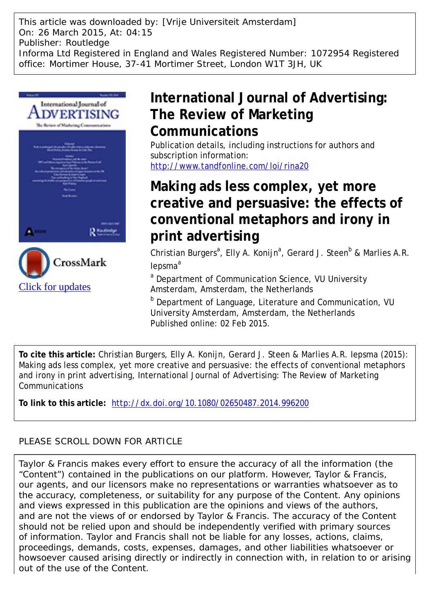This article was downloaded by: [Vrije Universiteit Amsterdam] On: 26 March 2015, At: 04:15 Publisher: Routledge Informa Ltd Registered in England and Wales Registered Number: 1072954 Registered office: Mortimer House, 37-41 Mortimer Street, London W1T 3JH, UK



# **International Journal of Advertising: The Review of Marketing Communications**

Publication details, including instructions for authors and subscription information: <http://www.tandfonline.com/loi/rina20>

# **Making ads less complex, yet more creative and persuasive: the effects of conventional metaphors and irony in print advertising**

Christian Burgers<sup>a</sup>, Elly A. Konijn<sup>a</sup>, Gerard J. Steen<sup>b</sup> & Marlies A.R. lepsma<sup>a</sup>

<sup>a</sup> Department of Communication Science, VU University Amsterdam, Amsterdam, the Netherlands

b Department of Language, Literature and Communication, VU University Amsterdam, Amsterdam, the Netherlands Published online: 02 Feb 2015.

**To cite this article:** Christian Burgers, Elly A. Konijn, Gerard J. Steen & Marlies A.R. Iepsma (2015): Making ads less complex, yet more creative and persuasive: the effects of conventional metaphors and irony in print advertising, International Journal of Advertising: The Review of Marketing Communications

**To link to this article:** <http://dx.doi.org/10.1080/02650487.2014.996200>

# PLEASE SCROLL DOWN FOR ARTICLE

Taylor & Francis makes every effort to ensure the accuracy of all the information (the "Content") contained in the publications on our platform. However, Taylor & Francis, our agents, and our licensors make no representations or warranties whatsoever as to the accuracy, completeness, or suitability for any purpose of the Content. Any opinions and views expressed in this publication are the opinions and views of the authors, and are not the views of or endorsed by Taylor & Francis. The accuracy of the Content should not be relied upon and should be independently verified with primary sources of information. Taylor and Francis shall not be liable for any losses, actions, claims, proceedings, demands, costs, expenses, damages, and other liabilities whatsoever or howsoever caused arising directly or indirectly in connection with, in relation to or arising out of the use of the Content.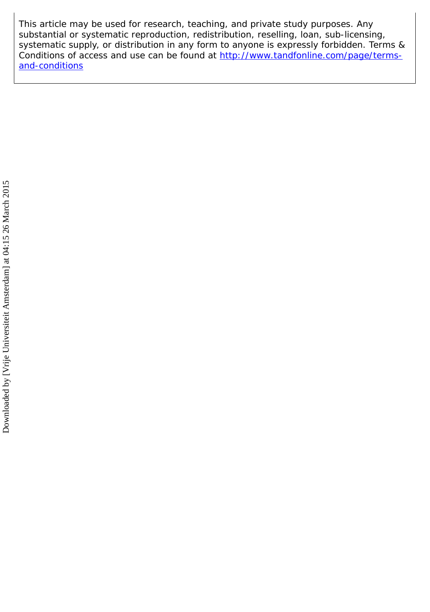This article may be used for research, teaching, and private study purposes. Any substantial or systematic reproduction, redistribution, reselling, loan, sub-licensing, systematic supply, or distribution in any form to anyone is expressly forbidden. Terms & Conditions of access and use can be found at [http://www.tandfonline.com/page/terms](http://www.tandfonline.com/page/terms-and-conditions)[and-conditions](http://www.tandfonline.com/page/terms-and-conditions)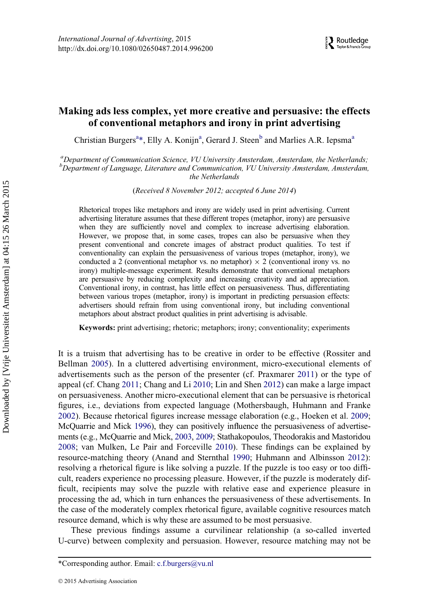# Making ads less complex, yet more creative and persuasive: the effects of conventional metaphors and irony in print advertising

Christi[a](#page-2-0)n Burgers<sup>a[\\*](#page-2-1)</sup>, Elly A. Konijn<sup>a</sup>, Gerard J. Steen<sup>[b](#page-2-0)</sup> and Marlies A.R. Iepsma<sup>a</sup>

<span id="page-2-0"></span><sup>a</sup>Department of Communication Science, VU University Amsterdam, Amsterdam, the Netherlands; <sup>b</sup>Department of Language, Literature and Communication, VU University Amsterdam, Amsterdam, the Netherlands

(Received 8 November 2012; accepted 6 June 2014)

Rhetorical tropes like metaphors and irony are widely used in print advertising. Current advertising literature assumes that these different tropes (metaphor, irony) are persuasive when they are sufficiently novel and complex to increase advertising elaboration. However, we propose that, in some cases, tropes can also be persuasive when they present conventional and concrete images of abstract product qualities. To test if conventionality can explain the persuasiveness of various tropes (metaphor, irony), we conducted a 2 (conventional metaphor vs. no metaphor)  $\times$  2 (conventional irony vs. no irony) multiple-message experiment. Results demonstrate that conventional metaphors are persuasive by reducing complexity and increasing creativity and ad appreciation. Conventional irony, in contrast, has little effect on persuasiveness. Thus, differentiating between various tropes (metaphor, irony) is important in predicting persuasion effects: advertisers should refrain from using conventional irony, but including conventional metaphors about abstract product qualities in print advertising is advisable.

Keywords: print advertising; rhetoric; metaphors; irony; conventionality; experiments

It is a truism that advertising has to be creative in order to be effective (Rossiter and Bellman [2005\)](#page-19-0). In a cluttered advertising environment, micro-executional elements of advertisements such as the person of the presenter (cf. Praxmarer [2011](#page-19-1)) or the type of appeal (cf. Chang [2011;](#page-17-0) Chang and Li [2010;](#page-17-1) Lin and Shen [2012](#page-18-0)) can make a large impact on persuasiveness. Another micro-executional element that can be persuasive is rhetorical figures, i.e., deviations from expected language (Mothersbaugh, Huhmann and Franke [2002\)](#page-19-2). Because rhetorical figures increase message elaboration (e.g., Hoeken et al. [2009;](#page-18-1) McQuarrie and Mick [1996](#page-18-2)), they can positively influence the persuasiveness of advertisements (e.g., McQuarrie and Mick, [2003](#page-18-3), [2009](#page-18-4); Stathakopoulos, Theodorakis and Mastoridou [2008;](#page-19-3) van Mulken, Le Pair and Forceville [2010](#page-19-4)). These findings can be explained by resource-matching theory (Anand and Sternthal [1990;](#page-16-0) Huhmann and Albinsson [2012](#page-18-5)): resolving a rhetorical figure is like solving a puzzle. If the puzzle is too easy or too difficult, readers experience no processing pleasure. However, if the puzzle is moderately difficult, recipients may solve the puzzle with relative ease and experience pleasure in processing the ad, which in turn enhances the persuasiveness of these advertisements. In the case of the moderately complex rhetorical figure, available cognitive resources match resource demand, which is why these are assumed to be most persuasive.

These previous findings assume a curvilinear relationship (a so-called inverted U-curve) between complexity and persuasion. However, resource matching may not be

<span id="page-2-1"></span><sup>\*</sup>Corresponding author. Email: [c.f.burgers@vu.nl](mailto:c.f.burgers@vu.nl)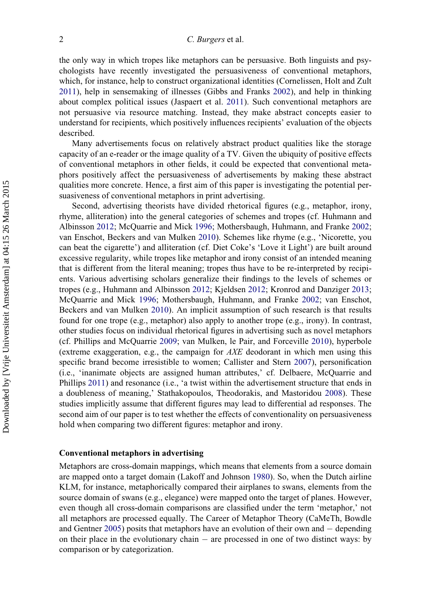the only way in which tropes like metaphors can be persuasive. Both linguists and psychologists have recently investigated the persuasiveness of conventional metaphors, which, for instance, help to construct organizational identities (Cornelissen, Holt and Zult [2011\)](#page-17-2), help in sensemaking of illnesses (Gibbs and Franks [2002](#page-17-3)), and help in thinking about complex political issues (Jaspaert et al. [2011](#page-18-6)). Such conventional metaphors are not persuasive via resource matching. Instead, they make abstract concepts easier to understand for recipients, which positively influences recipients' evaluation of the objects described.

Many advertisements focus on relatively abstract product qualities like the storage capacity of an e-reader or the image quality of a TV. Given the ubiquity of positive effects of conventional metaphors in other fields, it could be expected that conventional metaphors positively affect the persuasiveness of advertisements by making these abstract qualities more concrete. Hence, a first aim of this paper is investigating the potential persuasiveness of conventional metaphors in print advertising.

Second, advertising theorists have divided rhetorical figures (e.g., metaphor, irony, rhyme, alliteration) into the general categories of schemes and tropes (cf. Huhmann and Albinsson [2012;](#page-18-5) McQuarrie and Mick [1996;](#page-18-2) Mothersbaugh, Huhmann, and Franke [2002;](#page-19-2) van Enschot, Beckers and van Mulken [2010\)](#page-19-5). Schemes like rhyme (e.g., 'Nicorette, you can beat the cigarette') and alliteration (cf. Diet Coke's 'Love it Light') are built around excessive regularity, while tropes like metaphor and irony consist of an intended meaning that is different from the literal meaning; tropes thus have to be re-interpreted by recipients. Various advertising scholars generalize their findings to the levels of schemes or tropes (e.g., Huhmann and Albinsson [2012;](#page-18-5) Kjeldsen [2012;](#page-18-7) Kronrod and Danziger [2013;](#page-18-8) McQuarrie and Mick [1996](#page-18-2); Mothersbaugh, Huhmann, and Franke [2002;](#page-19-2) van Enschot, Beckers and van Mulken [2010\)](#page-19-5). An implicit assumption of such research is that results found for one trope (e.g., metaphor) also apply to another trope (e.g., irony). In contrast, other studies focus on individual rhetorical figures in advertising such as novel metaphors (cf. Phillips and McQuarrie [2009](#page-19-6); van Mulken, le Pair, and Forceville [2010](#page-19-4)), hyperbole (extreme exaggeration, e.g., the campaign for AXE deodorant in which men using this specific brand become irresistible to women; Callister and Stern [2007\)](#page-17-4), personification (i.e., 'inanimate objects are assigned human attributes,' cf. Delbaere, McQuarrie and Phillips [2011](#page-17-5)) and resonance (i.e., 'a twist within the advertisement structure that ends in a doubleness of meaning,' Stathakopoulos, Theodorakis, and Mastoridou [2008\)](#page-19-3). These studies implicitly assume that different figures may lead to differential ad responses. The second aim of our paper is to test whether the effects of conventionality on persuasiveness hold when comparing two different figures: metaphor and irony.

#### Conventional metaphors in advertising

Metaphors are cross-domain mappings, which means that elements from a source domain are mapped onto a target domain (Lakoff and Johnson [1980\)](#page-18-9). So, when the Dutch airline KLM, for instance, metaphorically compared their airplanes to swans, elements from the source domain of swans (e.g., elegance) were mapped onto the target of planes. However, even though all cross-domain comparisons are classified under the term 'metaphor,' not all metaphors are processed equally. The Career of Metaphor Theory (CaMeTh, Bowdle and Gentner [2005](#page-17-6)) posits that metaphors have an evolution of their own and  $-$  depending on their place in the evolutionary chain  $-$  are processed in one of two distinct ways: by comparison or by categorization.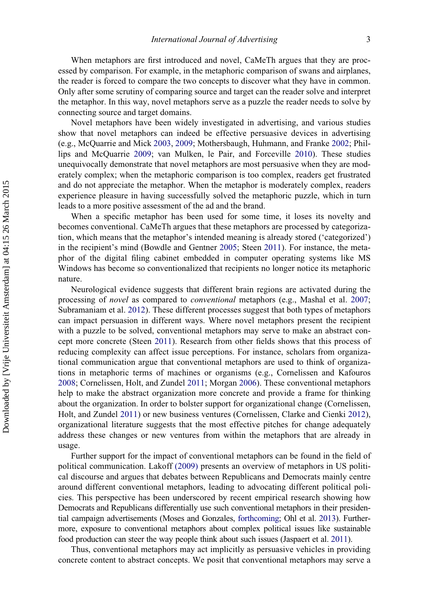When metaphors are first introduced and novel, CaMeTh argues that they are processed by comparison. For example, in the metaphoric comparison of swans and airplanes, the reader is forced to compare the two concepts to discover what they have in common. Only after some scrutiny of comparing source and target can the reader solve and interpret the metaphor. In this way, novel metaphors serve as a puzzle the reader needs to solve by connecting source and target domains.

Novel metaphors have been widely investigated in advertising, and various studies show that novel metaphors can indeed be effective persuasive devices in advertising (e.g., McQuarrie and Mick [2003](#page-18-3), [2009](#page-18-4); Mothersbaugh, Huhmann, and Franke [2002;](#page-19-2) Phillips and McQuarrie [2009;](#page-19-6) van Mulken, le Pair, and Forceville [2010](#page-19-4)). These studies unequivocally demonstrate that novel metaphors are most persuasive when they are moderately complex; when the metaphoric comparison is too complex, readers get frustrated and do not appreciate the metaphor. When the metaphor is moderately complex, readers experience pleasure in having successfully solved the metaphoric puzzle, which in turn leads to a more positive assessment of the ad and the brand.

When a specific metaphor has been used for some time, it loses its novelty and becomes conventional. CaMeTh argues that these metaphors are processed by categorization, which means that the metaphor's intended meaning is already stored ('categorized') in the recipient's mind (Bowdle and Gentner [2005](#page-17-6); Steen [2011](#page-19-7)). For instance, the metaphor of the digital filing cabinet embedded in computer operating systems like MS Windows has become so conventionalized that recipients no longer notice its metaphoric nature.

Neurological evidence suggests that different brain regions are activated during the processing of novel as compared to conventional metaphors (e.g., Mashal et al. [2007;](#page-18-10) Subramaniam et al. [2012\)](#page-19-8). These different processes suggest that both types of metaphors can impact persuasion in different ways. Where novel metaphors present the recipient with a puzzle to be solved, conventional metaphors may serve to make an abstract concept more concrete (Steen [2011](#page-19-7)). Research from other fields shows that this process of reducing complexity can affect issue perceptions. For instance, scholars from organizational communication argue that conventional metaphors are used to think of organizations in metaphoric terms of machines or organisms (e.g., Cornelissen and Kafouros [2008;](#page-17-7) Cornelissen, Holt, and Zundel [2011](#page-17-2); Morgan [2006\)](#page-19-9). These conventional metaphors help to make the abstract organization more concrete and provide a frame for thinking about the organization. In order to bolster support for organizational change (Cornelissen, Holt, and Zundel [2011](#page-17-2)) or new business ventures (Cornelissen, Clarke and Cienki [2012\)](#page-17-8), organizational literature suggests that the most effective pitches for change adequately address these changes or new ventures from within the metaphors that are already in usage.

Further support for the impact of conventional metaphors can be found in the field of political communication. Lakoff [\(2009\)](#page-18-11) presents an overview of metaphors in US political discourse and argues that debates between Republicans and Democrats mainly centre around different conventional metaphors, leading to advocating different political policies. This perspective has been underscored by recent empirical research showing how Democrats and Republicans differentially use such conventional metaphors in their presidential campaign advertisements (Moses and Gonzales, [forthcoming](#page-19-10); Ohl et al. [2013](#page-19-11)). Furthermore, exposure to conventional metaphors about complex political issues like sustainable food production can steer the way people think about such issues (Jaspaert et al. [2011](#page-18-6)).

Thus, conventional metaphors may act implicitly as persuasive vehicles in providing concrete content to abstract concepts. We posit that conventional metaphors may serve a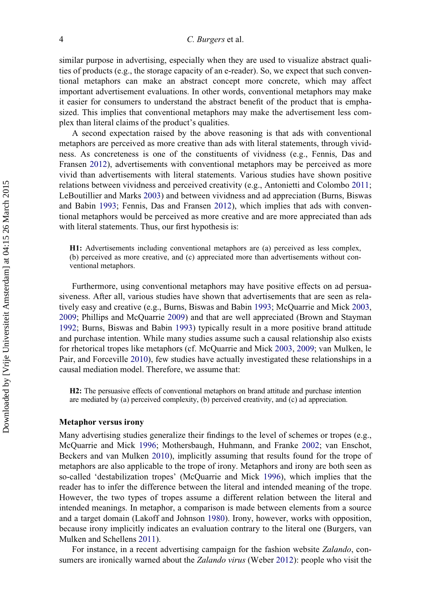similar purpose in advertising, especially when they are used to visualize abstract qualities of products (e.g., the storage capacity of an e-reader). So, we expect that such conventional metaphors can make an abstract concept more concrete, which may affect important advertisement evaluations. In other words, conventional metaphors may make it easier for consumers to understand the abstract benefit of the product that is emphasized. This implies that conventional metaphors may make the advertisement less complex than literal claims of the product's qualities.

A second expectation raised by the above reasoning is that ads with conventional metaphors are perceived as more creative than ads with literal statements, through vividness. As concreteness is one of the constituents of vividness (e.g., Fennis, Das and Fransen [2012\)](#page-17-9), advertisements with conventional metaphors may be perceived as more vivid than advertisements with literal statements. Various studies have shown positive relations between vividness and perceived creativity (e.g., Antonietti and Colombo [2011;](#page-17-10) LeBoutillier and Marks [2003\)](#page-18-12) and between vividness and ad appreciation (Burns, Biswas and Babin [1993;](#page-17-11) Fennis, Das and Fransen [2012\)](#page-17-9), which implies that ads with conventional metaphors would be perceived as more creative and are more appreciated than ads with literal statements. Thus, our first hypothesis is:

H1: Advertisements including conventional metaphors are (a) perceived as less complex, (b) perceived as more creative, and (c) appreciated more than advertisements without conventional metaphors.

Furthermore, using conventional metaphors may have positive effects on ad persuasiveness. After all, various studies have shown that advertisements that are seen as relatively easy and creative (e.g., Burns, Biswas and Babin [1993;](#page-17-11) McQuarrie and Mick [2003](#page-18-3), [2009;](#page-18-4) Phillips and McQuarrie [2009](#page-19-6)) and that are well appreciated (Brown and Stayman [1992;](#page-17-12) Burns, Biswas and Babin [1993](#page-17-11)) typically result in a more positive brand attitude and purchase intention. While many studies assume such a causal relationship also exists for rhetorical tropes like metaphors (cf. McQuarrie and Mick [2003,](#page-18-3) [2009;](#page-18-4) van Mulken, le Pair, and Forceville [2010\)](#page-19-4), few studies have actually investigated these relationships in a causal mediation model. Therefore, we assume that:

H2: The persuasive effects of conventional metaphors on brand attitude and purchase intention are mediated by (a) perceived complexity, (b) perceived creativity, and (c) ad appreciation.

#### Metaphor versus irony

Many advertising studies generalize their findings to the level of schemes or tropes (e.g., McQuarrie and Mick [1996](#page-18-2); Mothersbaugh, Huhmann, and Franke [2002;](#page-19-2) van Enschot, Beckers and van Mulken [2010](#page-19-5)), implicitly assuming that results found for the trope of metaphors are also applicable to the trope of irony. Metaphors and irony are both seen as so-called 'destabilization tropes' (McQuarrie and Mick [1996](#page-18-2)), which implies that the reader has to infer the difference between the literal and intended meaning of the trope. However, the two types of tropes assume a different relation between the literal and intended meanings. In metaphor, a comparison is made between elements from a source and a target domain (Lakoff and Johnson [1980](#page-18-9)). Irony, however, works with opposition, because irony implicitly indicates an evaluation contrary to the literal one (Burgers, van Mulken and Schellens [2011\)](#page-17-13).

For instance, in a recent advertising campaign for the fashion website Zalando, consumers are ironically warned about the *Zalando virus* (Weber [2012\)](#page-19-12): people who visit the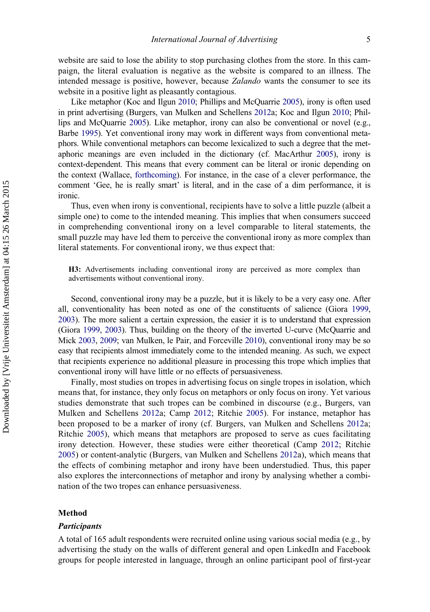website are said to lose the ability to stop purchasing clothes from the store. In this campaign, the literal evaluation is negative as the website is compared to an illness. The intended message is positive, however, because Zalando wants the consumer to see its website in a positive light as pleasantly contagious.

Like metaphor (Koc and Ilgun [2010;](#page-18-13) Phillips and McQuarrie [2005\)](#page-19-13), irony is often used in print advertising (Burgers, van Mulken and Schellens [2012](#page-17-14)a; Koc and Ilgun [2010;](#page-18-13) Phillips and McQuarrie [2005\)](#page-19-13). Like metaphor, irony can also be conventional or novel (e.g., Barbe [1995](#page-17-15)). Yet conventional irony may work in different ways from conventional metaphors. While conventional metaphors can become lexicalized to such a degree that the metaphoric meanings are even included in the dictionary (cf. MacArthur [2005\)](#page-18-14), irony is context-dependent. This means that every comment can be literal or ironic depending on the context (Wallace, [forthcoming\)](#page-19-14). For instance, in the case of a clever performance, the comment 'Gee, he is really smart' is literal, and in the case of a dim performance, it is ironic.

Thus, even when irony is conventional, recipients have to solve a little puzzle (albeit a simple one) to come to the intended meaning. This implies that when consumers succeed in comprehending conventional irony on a level comparable to literal statements, the small puzzle may have led them to perceive the conventional irony as more complex than literal statements. For conventional irony, we thus expect that:

H3: Advertisements including conventional irony are perceived as more complex than advertisements without conventional irony.

Second, conventional irony may be a puzzle, but it is likely to be a very easy one. After all, conventionality has been noted as one of the constituents of salience (Giora [1999,](#page-17-16) [2003](#page-17-17)). The more salient a certain expression, the easier it is to understand that expression (Giora [1999,](#page-17-16) [2003\)](#page-17-17). Thus, building on the theory of the inverted U-curve (McQuarrie and Mick [2003](#page-18-3), [2009](#page-18-4); van Mulken, le Pair, and Forceville [2010\)](#page-19-4), conventional irony may be so easy that recipients almost immediately come to the intended meaning. As such, we expect that recipients experience no additional pleasure in processing this trope which implies that conventional irony will have little or no effects of persuasiveness.

Finally, most studies on tropes in advertising focus on single tropes in isolation, which means that, for instance, they only focus on metaphors or only focus on irony. Yet various studies demonstrate that such tropes can be combined in discourse (e.g., Burgers, van Mulken and Schellens [2012](#page-17-14)a; Camp [2012;](#page-17-18) Ritchie [2005\)](#page-19-15). For instance, metaphor has been proposed to be a marker of irony (cf. Burgers, van Mulken and Schellens [2012](#page-17-14)a; Ritchie [2005\)](#page-19-15), which means that metaphors are proposed to serve as cues facilitating irony detection. However, these studies were either theoretical (Camp [2012;](#page-17-18) Ritchie [2005\)](#page-19-15) or content-analytic (Burgers, van Mulken and Schellens [2012](#page-17-14)a), which means that the effects of combining metaphor and irony have been understudied. Thus, this paper also explores the interconnections of metaphor and irony by analysing whether a combination of the two tropes can enhance persuasiveness.

#### Method

### Participants

A total of 165 adult respondents were recruited online using various social media (e.g., by advertising the study on the walls of different general and open LinkedIn and Facebook groups for people interested in language, through an online participant pool of first-year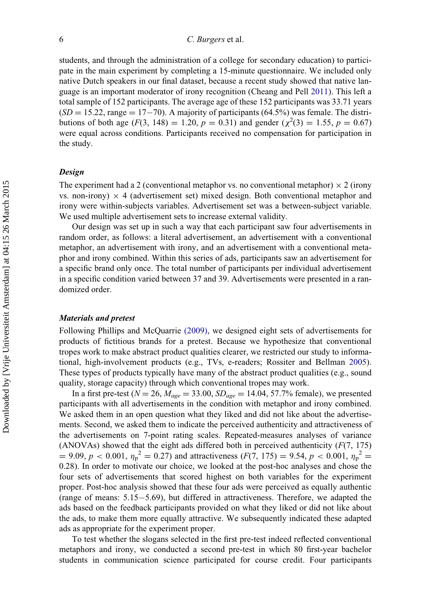# 6 C. Burgers et al.

students, and through the administration of a college for secondary education) to participate in the main experiment by completing a 15-minute questionnaire. We included only native Dutch speakers in our final dataset, because a recent study showed that native language is an important moderator of irony recognition (Cheang and Pell [2011\)](#page-17-19). This left a total sample of 152 participants. The average age of these 152 participants was 33.71 years  $(SD = 15.22$ , range  $= 17-70$ ). A majority of participants (64.5%) was female. The distributions of both age ( $F(3, 148) = 1.20, p = 0.31$ ) and gender ( $\chi^2(3) = 1.55, p = 0.67$ ) were equal across conditions. Participants received no compensation for participation in the study.

## **Design**

The experiment had a 2 (conventional metaphor vs. no conventional metaphor)  $\times$  2 (irony vs. non-irony)  $\times$  4 (advertisement set) mixed design. Both conventional metaphor and irony were within-subjects variables. Advertisement set was a between-subject variable. We used multiple advertisement sets to increase external validity.

Our design was set up in such a way that each participant saw four advertisements in random order, as follows: a literal advertisement, an advertisement with a conventional metaphor, an advertisement with irony, and an advertisement with a conventional metaphor and irony combined. Within this series of ads, participants saw an advertisement for a specific brand only once. The total number of participants per individual advertisement in a specific condition varied between 37 and 39. Advertisements were presented in a randomized order.

#### Materials and pretest

Following Phillips and McQuarrie [\(2009\),](#page-19-6) we designed eight sets of advertisements for products of fictitious brands for a pretest. Because we hypothesize that conventional tropes work to make abstract product qualities clearer, we restricted our study to informational, high-involvement products (e.g., TVs, e-readers; Rossiter and Bellman [2005\)](#page-19-0). These types of products typically have many of the abstract product qualities (e.g., sound quality, storage capacity) through which conventional tropes may work.

In a first pre-test ( $N = 26$ ,  $M_{age} = 33.00$ ,  $SD_{age} = 14.04$ , 57.7% female), we presented participants with all advertisements in the condition with metaphor and irony combined. We asked them in an open question what they liked and did not like about the advertisements. Second, we asked them to indicate the perceived authenticity and attractiveness of the advertisements on 7-point rating scales. Repeated-measures analyses of variance (ANOVAs) showed that the eight ads differed both in perceived authenticity  $(F(7, 175))$  $D = 9.09, p < 0.001, \eta_p^2 = 0.27$  and attractiveness  $(F(7, 175) = 9.54, p < 0.001, \eta_p^2 =$ 0.28). In order to motivate our choice, we looked at the post-hoc analyses and chose the four sets of advertisements that scored highest on both variables for the experiment proper. Post-hoc analysis showed that these four ads were perceived as equally authentic (range of means:  $5.15-5.69$ ), but differed in attractiveness. Therefore, we adapted the ads based on the feedback participants provided on what they liked or did not like about the ads, to make them more equally attractive. We subsequently indicated these adapted ads as appropriate for the experiment proper.

To test whether the slogans selected in the first pre-test indeed reflected conventional metaphors and irony, we conducted a second pre-test in which 80 first-year bachelor students in communication science participated for course credit. Four participants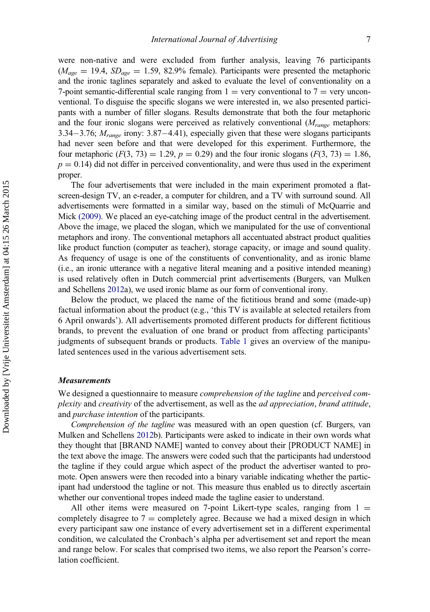were non-native and were excluded from further analysis, leaving 76 participants  $(M_{age} = 19.4, SD_{age} = 1.59, 82.9\%$  female). Participants were presented the metaphoric and the ironic taglines separately and asked to evaluate the level of conventionality on a 7-point semantic-differential scale ranging from  $1 = \text{very conventional to } 7 = \text{very unconditional}}$ ventional. To disguise the specific slogans we were interested in, we also presented participants with a number of filler slogans. Results demonstrate that both the four metaphoric and the four ironic slogans were perceived as relatively conventional  $(M_{range}$  metaphors: 3.34–3.76;  $M<sub>range</sub>$  irony: 3.87–4.41), especially given that these were slogans participants had never seen before and that were developed for this experiment. Furthermore, the four metaphoric (F(3, 73) = 1.29, p = 0.29) and the four ironic slogans (F(3, 73) = 1.86,  $p = 0.14$ ) did not differ in perceived conventionality, and were thus used in the experiment proper.

The four advertisements that were included in the main experiment promoted a flatscreen-design TV, an e-reader, a computer for children, and a TV with surround sound. All advertisements were formatted in a similar way, based on the stimuli of McQuarrie and Mick [\(2009\).](#page-18-4) We placed an eye-catching image of the product central in the advertisement. Above the image, we placed the slogan, which we manipulated for the use of conventional metaphors and irony. The conventional metaphors all accentuated abstract product qualities like product function (computer as teacher), storage capacity, or image and sound quality. As frequency of usage is one of the constituents of conventionality, and as ironic blame (i.e., an ironic utterance with a negative literal meaning and a positive intended meaning) is used relatively often in Dutch commercial print advertisements (Burgers, van Mulken and Schellens [2012a](#page-17-14)), we used ironic blame as our form of conventional irony.

Below the product, we placed the name of the fictitious brand and some (made-up) factual information about the product (e.g., 'this TV is available at selected retailers from 6 April onwards'). All advertisements promoted different products for different fictitious brands, to prevent the evaluation of one brand or product from affecting participants' judgments of subsequent brands or products. [Table 1](#page-9-0) gives an overview of the manipulated sentences used in the various advertisement sets.

# **Measurements**

We designed a questionnaire to measure *comprehension of the tagline* and *perceived com*plexity and creativity of the advertisement, as well as the ad appreciation, brand attitude, and purchase intention of the participants.

Comprehension of the tagline was measured with an open question (cf. Burgers, van Mulken and Schellens [2012](#page-17-20)b). Participants were asked to indicate in their own words what they thought that [BRAND NAME] wanted to convey about their [PRODUCT NAME] in the text above the image. The answers were coded such that the participants had understood the tagline if they could argue which aspect of the product the advertiser wanted to promote. Open answers were then recoded into a binary variable indicating whether the participant had understood the tagline or not. This measure thus enabled us to directly ascertain whether our conventional tropes indeed made the tagline easier to understand.

All other items were measured on 7-point Likert-type scales, ranging from  $1 =$ completely disagree to  $7 =$  completely agree. Because we had a mixed design in which every participant saw one instance of every advertisement set in a different experimental condition, we calculated the Cronbach's alpha per advertisement set and report the mean and range below. For scales that comprised two items, we also report the Pearson's correlation coefficient.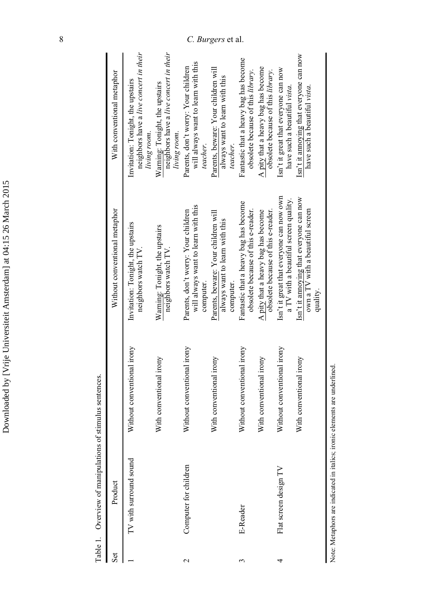Table 1. Overview of manipulations of stimulus sentences. Table 1. Overview of manipulations of stimulus sentences.

| $\rm{set}$               | Product                |                            | Without conventional metaphor                                                           | With conventional metaphor                                                                  |
|--------------------------|------------------------|----------------------------|-----------------------------------------------------------------------------------------|---------------------------------------------------------------------------------------------|
|                          | TV with surround sound | Without conventional irony | Invitation: Tonight, the upstairs<br>neighbors watch TV.                                | neighbors have a live concert in their<br>Invitation: Tonight, the upstairs<br>living room. |
|                          |                        | With conventional irony    | Warning: Tonight, the upstairs<br>neighbors watch TV.                                   | neighbors have a live concert in their<br>Warning: Tonight, the upstairs<br>living room.    |
| $\overline{\mathcal{C}}$ | Computer for children  | Without conventional irony | will always want to learn with this<br>Parents, don't worry: Your children<br>computer. | will always want to learn with this<br>Parents, don't worry: Your children<br>teacher.      |
|                          |                        | With conventional irony    | Parents, beware: Your children will<br>always want to learn with this<br>computer.      | Parents, beware: Your children will<br>always want to learn with this<br>teacher.           |
|                          | E-Reader               | Without conventional irony | Fantastic that a heavy bag has become<br>obsolete because of this e-reader.             | Fantastic that a heavy bag has become<br>obsolete because of this library.                  |
|                          |                        | With conventional irony    | obsolete because of this e-reader.<br>A pity that a heavy bag has become                | A pity that a heavy bag has become<br>obsolete because of this library.                     |
| 4                        | Flat screen design TV  | Without conventional irony | Isn't it great that everyone can now own<br>a TV with a beautiful screen quality.       | Isn't it great that everyone can now<br>have such a beautiful vista.                        |
|                          |                        | With conventional irony    | Isn't it annoying that everyone can now<br>own a TV with a beautiful screen<br>quality. | Isn't it annoying that everyone can now<br>have such a beautiful vista.                     |

Note: Metaphors are indicated in italics; ironic elements are underlined. Note: Metaphors are indicated in italics; ironic elements are underlined.

<span id="page-9-0"></span> $\mathbf{I}$ 

Downloaded by [Vrije Universiteit Amsterdam] at 04:15 26 March 2015

Downloaded by [Vrije Universiteit Amsterdam] at 04:15 26 March 2015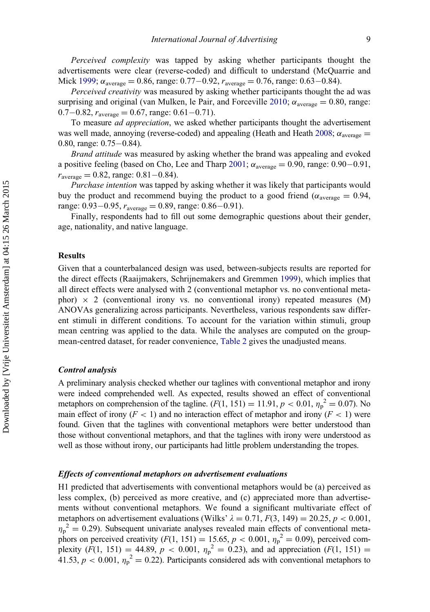Perceived complexity was tapped by asking whether participants thought the advertisements were clear (reverse-coded) and difficult to understand (McQuarrie and Mick [1999](#page-18-15);  $\alpha_{\text{average}} = 0.86$ , range: 0.77–0.92,  $r_{\text{average}} = 0.76$ , range: 0.63–0.84).

Perceived creativity was measured by asking whether participants thought the ad was surprising and original (van Mulken, le Pair, and Forceville [2010;](#page-19-4)  $\alpha_{\text{average}} = 0.80$ , range:  $0.7-0.82$ ,  $r_{\text{average}} = 0.67$ , range:  $0.61-0.71$ .

To measure ad appreciation, we asked whether participants thought the advertisement was well made, annoying (reverse-coded) and appealing (Heath and Heath [2008](#page-18-16);  $\alpha_{\text{average}} =$ 0.80, range:  $0.75-0.84$ ).

Brand attitude was measured by asking whether the brand was appealing and evoked a positive feeling (based on Cho, Lee and Tharp [2001;](#page-17-21)  $\alpha_{\text{average}} = 0.90$ , range: 0.90–0.91,  $r_{\text{average}} = 0.82$ , range: 0.81–0.84).

Purchase intention was tapped by asking whether it was likely that participants would buy the product and recommend buying the product to a good friend ( $\alpha_{\text{average}} = 0.94$ , range:  $0.93-0.95$ ,  $r_{\text{average}} = 0.89$ , range:  $0.86-0.91$ ).

Finally, respondents had to fill out some demographic questions about their gender, age, nationality, and native language.

# Results

Given that a counterbalanced design was used, between-subjects results are reported for the direct effects (Raaijmakers, Schrijnemakers and Gremmen [1999\)](#page-19-16), which implies that all direct effects were analysed with 2 (conventional metaphor vs. no conventional metaphor)  $\times$  2 (conventional irony vs. no conventional irony) repeated measures (M) ANOVAs generalizing across participants. Nevertheless, various respondents saw different stimuli in different conditions. To account for the variation within stimuli, group mean centring was applied to the data. While the analyses are computed on the groupmean-centred dataset, for reader convenience, [Table 2](#page-11-0) gives the unadjusted means.

#### Control analysis

A preliminary analysis checked whether our taglines with conventional metaphor and irony were indeed comprehended well. As expected, results showed an effect of conventional metaphors on comprehension of the tagline.  $(F(1, 151) = 11.91, p < 0.01, \eta_p^2 = 0.07)$ . No main effect of irony  $(F < 1)$  and no interaction effect of metaphor and irony  $(F < 1)$  were found. Given that the taglines with conventional metaphors were better understood than those without conventional metaphors, and that the taglines with irony were understood as well as those without irony, our participants had little problem understanding the tropes.

#### Effects of conventional metaphors on advertisement evaluations

H1 predicted that advertisements with conventional metaphors would be (a) perceived as less complex, (b) perceived as more creative, and (c) appreciated more than advertisements without conventional metaphors. We found a significant multivariate effect of metaphors on advertisement evaluations (Wilks'  $\lambda = 0.71$ ,  $F(3, 149) = 20.25$ ,  $p < 0.001$ ,  $n_p^2 = 0.29$ ). Subsequent univariate analyses revealed main effects of conventional metaphors on perceived creativity  $(F(1, 151) = 15.65, p < 0.001, \eta_p^2 = 0.09)$ , perceived complexity  $(F(1, 151) = 44.89, p < 0.001, \eta_p^2 = 0.23)$ , and ad appreciation  $(F(1, 151) =$ 41.53,  $p < 0.001$ ,  $\eta_p^2 = 0.22$ ). Participants considered ads with conventional metaphors to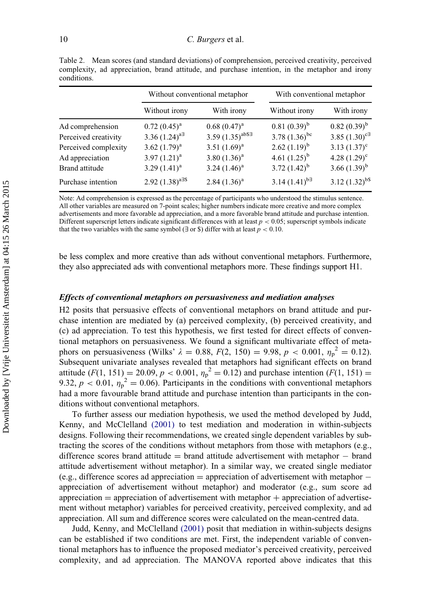Without conventional metaphor With conventional metaphor Without irony With irony Without irony With irony Ad comprehension  $0.72 (0.45)^a$   $0.68 (0.47)^a$   $0.81 (0.39)^b$   $0.82 (0.39)^b$ Perceived creativity  $3.36 (1.24)^{a}$   $3.59 (1.35)^{ab}$   $3.78 (1.36)^{bc}$   $3.85 (1.30)^{c}$ Perceived complexity  $3.62 (1.79)^a$   $3.51 (1.69)^a$   $2.62 (1.19)^b$   $3.13 (1.37)^c$ Ad appreciation 3.97  $(1.21)^a$  3.80  $(1.36)^a$  4.61  $(1.25)^b$  4.28  $(1.29)^c$ Brand attitude 3.29  $(1.41)^{a}$  3.24  $(1.46)^{a}$  3.72  $(1.42)^{b}$  3.66  $(1.39)^{b}$ Purchase intention  $2.92 (1.38)^{a=5}$   $2.84 (1.36)^a$   $3.14 (1.41)^{b=3}$   $3.12 (1.32)^{b=5}$ 

Table 2. Mean scores (and standard deviations) of comprehension, perceived creativity, perceived complexity, ad appreciation, brand attitude, and purchase intention, in the metaphor and irony conditions.

<span id="page-11-0"></span>Note: Ad comprehension is expressed as the percentage of participants who understood the stimulus sentence. All other variables are measured on 7-point scales; higher numbers indicate more creative and more complex advertisements and more favorable ad appreciation, and a more favorable brand attitude and purchase intention. Different superscript letters indicate significant differences with at least  $p < 0.05$ ; superscript symbols indicate that the two variables with the same symbol ( $\exists$  or  $\hat{\mathcal{S}}$ ) differ with at least  $p < 0.10$ .

be less complex and more creative than ads without conventional metaphors. Furthermore, they also appreciated ads with conventional metaphors more. These findings support H1.

## Effects of conventional metaphors on persuasiveness and mediation analyses

H2 posits that persuasive effects of conventional metaphors on brand attitude and purchase intention are mediated by (a) perceived complexity, (b) perceived creativity, and (c) ad appreciation. To test this hypothesis, we first tested for direct effects of conventional metaphors on persuasiveness. We found a significant multivariate effect of metaphors on persuasiveness (Wilks'  $\lambda = 0.88, F(2, 150) = 9.98, p < 0.001, \eta_p^2 = 0.12$ ). Subsequent univariate analyses revealed that metaphors had significant effects on brand attitude  $(F(1, 151) = 20.09, p < 0.001, \eta_p^2 = 0.12)$  and purchase intention  $(F(1, 151) =$ 9.32,  $p < 0.01$ ,  $\eta_p^2 = 0.06$ ). Participants in the conditions with conventional metaphors had a more favourable brand attitude and purchase intention than participants in the conditions without conventional metaphors.

To further assess our mediation hypothesis, we used the method developed by Judd, Kenny, and McClelland [\(2001\)](#page-18-17) to test mediation and moderation in within-subjects designs. Following their recommendations, we created single dependent variables by subtracting the scores of the conditions without metaphors from those with metaphors (e.g., difference scores brand attitude  $=$  brand attitude advertisement with metaphor  $-$  brand attitude advertisement without metaphor). In a similar way, we created single mediator (e.g., difference scores ad appreciation  $=$  appreciation of advertisement with metaphor  $$ appreciation of advertisement without metaphor) and moderator (e.g., sum score ad appreciation  $=$  appreciation of advertisement with metaphor  $+$  appreciation of advertisement without metaphor) variables for perceived creativity, perceived complexity, and ad appreciation. All sum and difference scores were calculated on the mean-centred data.

Judd, Kenny, and McClelland [\(2001\)](#page-18-17) posit that mediation in within-subjects designs can be established if two conditions are met. First, the independent variable of conventional metaphors has to influence the proposed mediator's perceived creativity, perceived complexity, and ad appreciation. The MANOVA reported above indicates that this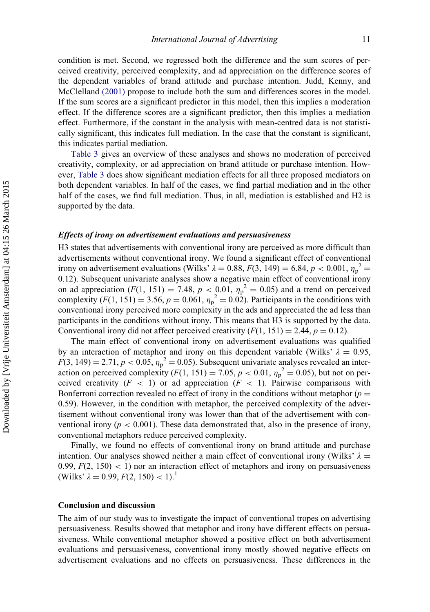condition is met. Second, we regressed both the difference and the sum scores of perceived creativity, perceived complexity, and ad appreciation on the difference scores of the dependent variables of brand attitude and purchase intention. Judd, Kenny, and McClelland [\(2001\)](#page-18-17) propose to include both the sum and differences scores in the model. If the sum scores are a significant predictor in this model, then this implies a moderation effect. If the difference scores are a significant predictor, then this implies a mediation effect. Furthermore, if the constant in the analysis with mean-centred data is not statistically significant, this indicates full mediation. In the case that the constant is significant, this indicates partial mediation.

[Table 3](#page-13-0) gives an overview of these analyses and shows no moderation of perceived creativity, complexity, or ad appreciation on brand attitude or purchase intention. However, [Table 3](#page-13-0) does show significant mediation effects for all three proposed mediators on both dependent variables. In half of the cases, we find partial mediation and in the other half of the cases, we find full mediation. Thus, in all, mediation is established and H2 is supported by the data.

# Effects of irony on advertisement evaluations and persuasiveness

H3 states that advertisements with conventional irony are perceived as more difficult than advertisements without conventional irony. We found a significant effect of conventional irony on advertisement evaluations (Wilks'  $\lambda = 0.88$ ,  $F(3, 149) = 6.84$ ,  $p < 0.001$ ,  $\eta_p^2 =$ 0.12). Subsequent univariate analyses show a negative main effect of conventional irony on ad appreciation ( $F(1, 151) = 7.48$ ,  $p < 0.01$ ,  $\eta_p^2 = 0.05$ ) and a trend on perceived complexity  $(F(1, 151) = 3.56, p = 0.061, \eta_p^2 = 0.02)$ . Participants in the conditions with conventional irony perceived more complexity in the ads and appreciated the ad less than participants in the conditions without irony. This means that H3 is supported by the data. Conventional irony did not affect perceived creativity  $(F(1, 151) = 2.44, p = 0.12)$ .

The main effect of conventional irony on advertisement evaluations was qualified by an interaction of metaphor and irony on this dependent variable (Wilks'  $\lambda = 0.95$ ,  $F(3, 149) = 2.71, p < 0.05, \eta_p^2 = 0.05$ . Subsequent univariate analyses revealed an interaction on perceived complexity  $(F(1, 151) = 7.05, p < 0.01, \eta_p^2 = 0.05)$ , but not on perceived creativity  $(F < 1)$  or ad appreciation  $(F < 1)$ . Pairwise comparisons with Bonferroni correction revealed no effect of irony in the conditions without metaphor ( $p =$ 0.59). However, in the condition with metaphor, the perceived complexity of the advertisement without conventional irony was lower than that of the advertisement with conventional irony ( $p < 0.001$ ). These data demonstrated that, also in the presence of irony, conventional metaphors reduce perceived complexity.

Finally, we found no effects of conventional irony on brand attitude and purchase intention. Our analyses showed neither a main effect of conventional irony (Wilks'  $\lambda =$ 0.99,  $F(2, 150) < 1$ ) nor an interaction effect of metaphors and irony on persuasiveness (Wilks'  $\lambda = 0.99, F(2, 150) < 1$  $\lambda = 0.99, F(2, 150) < 1$  $\lambda = 0.99, F(2, 150) < 1$ ).<sup>1</sup>

# Conclusion and discussion

The aim of our study was to investigate the impact of conventional tropes on advertising persuasiveness. Results showed that metaphor and irony have different effects on persuasiveness. While conventional metaphor showed a positive effect on both advertisement evaluations and persuasiveness, conventional irony mostly showed negative effects on advertisement evaluations and no effects on persuasiveness. These differences in the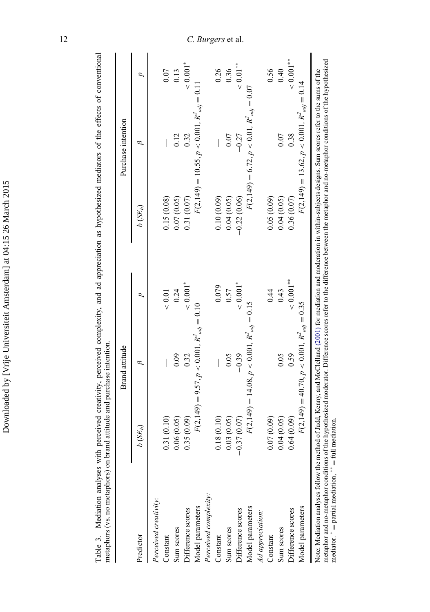| ׇ֚                                                                                                              |
|-----------------------------------------------------------------------------------------------------------------|
| l                                                                                                               |
|                                                                                                                 |
|                                                                                                                 |
| $\mathfrak{g}$                                                                                                  |
| l                                                                                                               |
| ł                                                                                                               |
| າ<br>ໂ                                                                                                          |
| י<br>י<br>l                                                                                                     |
|                                                                                                                 |
|                                                                                                                 |
| i                                                                                                               |
| ١                                                                                                               |
|                                                                                                                 |
|                                                                                                                 |
|                                                                                                                 |
| ì                                                                                                               |
|                                                                                                                 |
|                                                                                                                 |
| į<br>ı                                                                                                          |
| i<br>l<br>J                                                                                                     |
| j                                                                                                               |
| :                                                                                                               |
|                                                                                                                 |
| ֧֧֧֧֧֧֧֧֧ׅ֧֧֧֧֧֧֧֧֧֧֧֧֧֧֧֧֛֚֚֚֚֚֚֚֚֚֚֚֚֚֚֚֚֚֚֓֝֝֓֝֓֝֓֝֟֓֝֟֓֝֬֝֟֝֬֜֝֬֝֜֝֬֜֝֬֝֬֝֬֝֬֝֬<br>֧֧֪֪֪֪֪֪֪֪֪֪֪֪֪֪֪֪֪֪֪֪֜֜ |
|                                                                                                                 |
| :<br>:<br>:                                                                                                     |
|                                                                                                                 |
|                                                                                                                 |
|                                                                                                                 |
|                                                                                                                 |
|                                                                                                                 |
|                                                                                                                 |
|                                                                                                                 |
|                                                                                                                 |
| I                                                                                                               |

Table 3. Mediation analyses with perceived creativity, perceived complexity, and ad appreciation as hypothesized mediators of the effects of conventional<br>metaphors (vs. no metaphors) on brand attitude and purchase intentio Table 3. Mediation analyses with perceived creativity, perceived complexity, and ad appreciation as hypothesized mediators of the effects of conventional metaphors (vs. no metaphors) on brand attitude and purchase intention.

|                                                                                                                                                                                                                                                                                                                                                                                                                              |                          | Brand attitude                                 |                        |                                | Purchase intention                             |                        |
|------------------------------------------------------------------------------------------------------------------------------------------------------------------------------------------------------------------------------------------------------------------------------------------------------------------------------------------------------------------------------------------------------------------------------|--------------------------|------------------------------------------------|------------------------|--------------------------------|------------------------------------------------|------------------------|
| Predictor                                                                                                                                                                                                                                                                                                                                                                                                                    | $b(SE_b)$                | B                                              | d                      | $b\left( \text{SE}_{h}\right)$ | 9                                              | d                      |
| Perceived creativity:                                                                                                                                                                                                                                                                                                                                                                                                        |                          |                                                |                        |                                |                                                |                        |
| Constant                                                                                                                                                                                                                                                                                                                                                                                                                     | 0.31(0.10)               |                                                | $< 0.01$               | 0.15(0.08)                     |                                                | 0.07                   |
| Sum scores                                                                                                                                                                                                                                                                                                                                                                                                                   | 0.06(0.05)               | 0.09                                           | 0.24                   | 0.07(0.05)                     | 0.12                                           | 0.13                   |
| Difference scores                                                                                                                                                                                                                                                                                                                                                                                                            | 0.35(0.09)               | 0.32                                           | 0.001                  | 0.31(0.07)                     | 0.32                                           | $< 0.001$ *            |
| Model parameters                                                                                                                                                                                                                                                                                                                                                                                                             |                          | $F(2,149) = 9.57, p < 0.001, R2_{adj} = 0.10$  |                        |                                | $F(2,149) = 10.55, p < 0.001, R2_{adj} = 0.11$ |                        |
| Perceived complexity:                                                                                                                                                                                                                                                                                                                                                                                                        |                          |                                                |                        |                                |                                                |                        |
| Constant                                                                                                                                                                                                                                                                                                                                                                                                                     | (0.10)<br>$\overline{0}$ |                                                | 0.079                  | 0.10(0.09)                     |                                                | 0.26                   |
| Sum scores                                                                                                                                                                                                                                                                                                                                                                                                                   | 0.03(0.05)               | 0.05                                           | 0.57                   | 0.04(0.05)                     | 0.07                                           | 0.36                   |
| Difference scores                                                                                                                                                                                                                                                                                                                                                                                                            | $-0.37(0.07)$            | $-0.39$                                        | $< 0.001$ <sup>*</sup> | $-0.22(0.06)$                  | $-0.27$                                        | $< 0.01$ <sup>**</sup> |
| Model parameters                                                                                                                                                                                                                                                                                                                                                                                                             |                          | $F(2,149) = 14.08, p < 0.001, R2_{adj} = 0.15$ |                        |                                | $F(2,149) = 6.72, p < 0.01, R2_{adj} = 0.07$   |                        |
| Ad appreciation:                                                                                                                                                                                                                                                                                                                                                                                                             |                          |                                                |                        |                                |                                                |                        |
| Constant                                                                                                                                                                                                                                                                                                                                                                                                                     | (60.07, 0.09)            |                                                | 0.44                   | 0.05(0.09)                     |                                                | 0.56                   |
| Sum scores                                                                                                                                                                                                                                                                                                                                                                                                                   | 0.04(0.05)               | 0.05                                           | 0.43                   | 0.04(0.05)                     | 0.07                                           | 0.40                   |
| Difference scores                                                                                                                                                                                                                                                                                                                                                                                                            | 0.64(0.09)               | 0.59                                           | $< 0.001$ **           | 0.36(0.07)                     | 0.38                                           | $< 0.001$ **           |
| Model parameters                                                                                                                                                                                                                                                                                                                                                                                                             |                          | $F(2,149) = 40.70, p < 0.001, R2_{adi} = 0.35$ |                        |                                | $F(2,149) = 13.62, p < 0.001, R2_{adi} = 0.14$ |                        |
| metaphor and no-metaphor conditions of the hypothesized moderator. Difference scores refer to the difference between the metaphor and no-metaphor conditions of the hypothesized<br>Note: Mediation analyses follow the method of Judd, Kenny, and McClelland (2001) for mediation and moderation in within-subjects designs. Sum scores refer to the sums of the<br>mediator. $* =$ partial mediation, $* =$ full mediation |                          |                                                |                        |                                |                                                |                        |

<span id="page-13-0"></span>12 C. Burgers et al.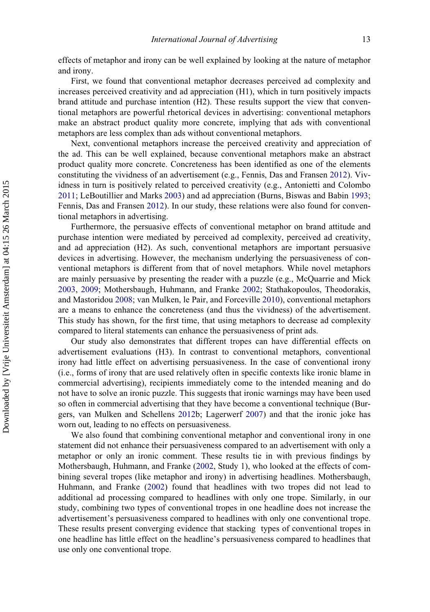effects of metaphor and irony can be well explained by looking at the nature of metaphor and irony.

First, we found that conventional metaphor decreases perceived ad complexity and increases perceived creativity and ad appreciation (H1), which in turn positively impacts brand attitude and purchase intention (H2). These results support the view that conventional metaphors are powerful rhetorical devices in advertising: conventional metaphors make an abstract product quality more concrete, implying that ads with conventional metaphors are less complex than ads without conventional metaphors.

Next, conventional metaphors increase the perceived creativity and appreciation of the ad. This can be well explained, because conventional metaphors make an abstract product quality more concrete. Concreteness has been identified as one of the elements constituting the vividness of an advertisement (e.g., Fennis, Das and Fransen [2012\)](#page-17-9). Vividness in turn is positively related to perceived creativity (e.g., Antonietti and Colombo [2011;](#page-17-10) LeBoutillier and Marks [2003\)](#page-18-12) and ad appreciation (Burns, Biswas and Babin [1993;](#page-17-11) Fennis, Das and Fransen [2012](#page-17-9)). In our study, these relations were also found for conventional metaphors in advertising.

Furthermore, the persuasive effects of conventional metaphor on brand attitude and purchase intention were mediated by perceived ad complexity, perceived ad creativity, and ad appreciation (H2). As such, conventional metaphors are important persuasive devices in advertising. However, the mechanism underlying the persuasiveness of conventional metaphors is different from that of novel metaphors. While novel metaphors are mainly persuasive by presenting the reader with a puzzle (e.g., McQuarrie and Mick [2003,](#page-18-3) [2009;](#page-18-4) Mothersbaugh, Huhmann, and Franke [2002](#page-19-2); Stathakopoulos, Theodorakis, and Mastoridou [2008](#page-19-3); van Mulken, le Pair, and Forceville [2010](#page-19-4)), conventional metaphors are a means to enhance the concreteness (and thus the vividness) of the advertisement. This study has shown, for the first time, that using metaphors to decrease ad complexity compared to literal statements can enhance the persuasiveness of print ads.

Our study also demonstrates that different tropes can have differential effects on advertisement evaluations (H3). In contrast to conventional metaphors, conventional irony had little effect on advertising persuasiveness. In the case of conventional irony (i.e., forms of irony that are used relatively often in specific contexts like ironic blame in commercial advertising), recipients immediately come to the intended meaning and do not have to solve an ironic puzzle. This suggests that ironic warnings may have been used so often in commercial advertising that they have become a conventional technique (Burgers, van Mulken and Schellens [2012](#page-17-20)b; Lagerwerf [2007](#page-18-18)) and that the ironic joke has worn out, leading to no effects on persuasiveness.

We also found that combining conventional metaphor and conventional irony in one statement did not enhance their persuasiveness compared to an advertisement with only a metaphor or only an ironic comment. These results tie in with previous findings by Mothersbaugh, Huhmann, and Franke [\(2002](#page-19-2), Study 1), who looked at the effects of combining several tropes (like metaphor and irony) in advertising headlines. Mothersbaugh, Huhmann, and Franke [\(2002](#page-19-2)) found that headlines with two tropes did not lead to additional ad processing compared to headlines with only one trope. Similarly, in our study, combining two types of conventional tropes in one headline does not increase the advertisement's persuasiveness compared to headlines with only one conventional trope. These results present converging evidence that stacking types of conventional tropes in one headline has little effect on the headline's persuasiveness compared to headlines that use only one conventional trope.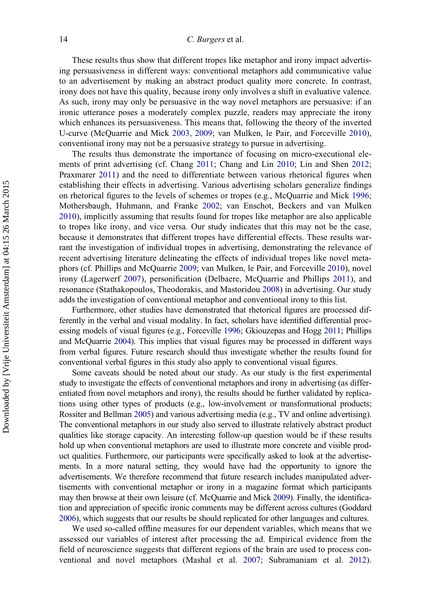# 14 C. Burgers et al.

These results thus show that different tropes like metaphor and irony impact advertising persuasiveness in different ways: conventional metaphors add communicative value to an advertisement by making an abstract product quality more concrete. In contrast, irony does not have this quality, because irony only involves a shift in evaluative valence. As such, irony may only be persuasive in the way novel metaphors are persuasive: if an ironic utterance poses a moderately complex puzzle, readers may appreciate the irony which enhances its persuasiveness. This means that, following the theory of the inverted U-curve (McQuarrie and Mick [2003,](#page-18-3) [2009;](#page-18-4) van Mulken, le Pair, and Forceville [2010\)](#page-19-4), conventional irony may not be a persuasive strategy to pursue in advertising.

The results thus demonstrate the importance of focusing on micro-executional elements of print advertising (cf. Chang [2011;](#page-17-0) Chang and Lin [2010;](#page-17-1) Lin and Shen [2012;](#page-18-0) Praxmarer [2011](#page-19-1)) and the need to differentiate between various rhetorical figures when establishing their effects in advertising. Various advertising scholars generalize findings on rhetorical figures to the levels of schemes or tropes (e.g., McQuarrie and Mick [1996;](#page-18-2) Mothersbaugh, Huhmann, and Franke [2002](#page-19-2); van Enschot, Beckers and van Mulken [2010\)](#page-19-5), implicitly assuming that results found for tropes like metaphor are also applicable to tropes like irony, and vice versa. Our study indicates that this may not be the case, because it demonstrates that different tropes have differential effects. These results warrant the investigation of individual tropes in advertising, demonstrating the relevance of recent advertising literature delineating the effects of individual tropes like novel metaphors (cf. Phillips and McQuarrie [2009;](#page-19-6) van Mulken, le Pair, and Forceville [2010\)](#page-19-4), novel irony (Lagerwerf [2007\)](#page-18-18), personification (Delbaere, McQuarrie and Phillips [2011](#page-17-5)), and resonance (Stathakopoulos, Theodorakis, and Mastoridou [2008](#page-19-3)) in advertising. Our study adds the investigation of conventional metaphor and conventional irony to this list.

Furthermore, other studies have demonstrated that rhetorical figures are processed differently in the verbal and visual modality. In fact, scholars have identified differential processing models of visual figures (e.g., Forceville [1996](#page-17-22); Gkiouzepas and Hogg [2011](#page-17-23); Phillips and McQuarrie [2004](#page-19-17)). This implies that visual figures may be processed in different ways from verbal figures. Future research should thus investigate whether the results found for conventional verbal figures in this study also apply to conventional visual figures.

Some caveats should be noted about our study. As our study is the first experimental study to investigate the effects of conventional metaphors and irony in advertising (as differentiated from novel metaphors and irony), the results should be further validated by replications using other types of products (e.g., low-involvement or transformational products; Rossiter and Bellman [2005](#page-19-0)) and various advertising media (e.g., TV and online advertising). The conventional metaphors in our study also served to illustrate relatively abstract product qualities like storage capacity. An interesting follow-up question would be if these results hold up when conventional metaphors are used to illustrate more concrete and visible product qualities. Furthermore, our participants were specifically asked to look at the advertisements. In a more natural setting, they would have had the opportunity to ignore the advertisements. We therefore recommend that future research includes manipulated advertisements with conventional metaphor or irony in a magazine format which participants may then browse at their own leisure (cf. McQuarrie and Mick [2009\)](#page-18-4). Finally, the identification and appreciation of specific ironic comments may be different across cultures (Goddard [2006](#page-18-19)), which suggests that our results be should replicated for other languages and cultures.

We used so-called offline measures for our dependent variables, which means that we assessed our variables of interest after processing the ad. Empirical evidence from the field of neuroscience suggests that different regions of the brain are used to process conventional and novel metaphors (Mashal et al. [2007](#page-18-10); Subramaniam et al. [2012\)](#page-19-8).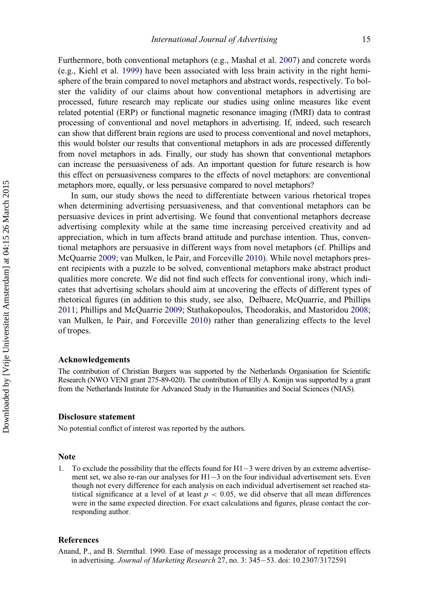Furthermore, both conventional metaphors (e.g., Mashal et al. [2007\)](#page-18-10) and concrete words (e.g., Kiehl et al. [1999\)](#page-18-20) have been associated with less brain activity in the right hemisphere of the brain compared to novel metaphors and abstract words, respectively. To bolster the validity of our claims about how conventional metaphors in advertising are processed, future research may replicate our studies using online measures like event related potential (ERP) or functional magnetic resonance imaging (fMRI) data to contrast processing of conventional and novel metaphors in advertising. If, indeed, such research can show that different brain regions are used to process conventional and novel metaphors, this would bolster our results that conventional metaphors in ads are processed differently from novel metaphors in ads. Finally, our study has shown that conventional metaphors can increase the persuasiveness of ads. An important question for future research is how this effect on persuasiveness compares to the effects of novel metaphors: are conventional metaphors more, equally, or less persuasive compared to novel metaphors?

In sum, our study shows the need to differentiate between various rhetorical tropes when determining advertising persuasiveness, and that conventional metaphors can be persuasive devices in print advertising. We found that conventional metaphors decrease advertising complexity while at the same time increasing perceived creativity and ad appreciation, which in turn affects brand attitude and purchase intention. Thus, conventional metaphors are persuasive in different ways from novel metaphors (cf. Phillips and McQuarrie [2009](#page-19-6); van Mulken, le Pair, and Forceville [2010\)](#page-19-4). While novel metaphors present recipients with a puzzle to be solved, conventional metaphors make abstract product qualities more concrete. We did not find such effects for conventional irony, which indicates that advertising scholars should aim at uncovering the effects of different types of rhetorical figures (in addition to this study, see also, Delbaere, McQuarrie, and Phillips [2011;](#page-17-5) Phillips and McQuarrie [2009](#page-19-6); Stathakopoulos, Theodorakis, and Mastoridou [2008;](#page-19-3) van Mulken, le Pair, and Forceville [2010\)](#page-19-4) rather than generalizing effects to the level of tropes.

#### Acknowledgements

The contribution of Christian Burgers was supported by the Netherlands Organisation for Scientific Research (NWO VENI grant 275-89-020). The contribution of Elly A. Konijn was supported by a grant from the Netherlands Institute for Advanced Study in the Humanities and Social Sciences (NIAS).

# Disclosure statement

No potential conflict of interest was reported by the authors.

#### Note

<span id="page-16-1"></span>1. To exclude the possibility that the effects found for  $H1-3$  were driven by an extreme advertisement set, we also re-ran our analyses for  $H1-3$  on the four individual advertisement sets. Even though not every difference for each analysis on each individual advertisement set reached statistical significance at a level of at least  $p < 0.05$ , we did observe that all mean differences were in the same expected direction. For exact calculations and figures, please contact the corresponding author.

#### References

<span id="page-16-0"></span>Anand, P., and B. Sternthal. 1990. Ease of message processing as a moderator of repetition effects in advertising. Journal of Marketing Research 27, no. 3: 345-53. doi: [10.2307/3172591](http://dx.doi.org/10.2307/3172591)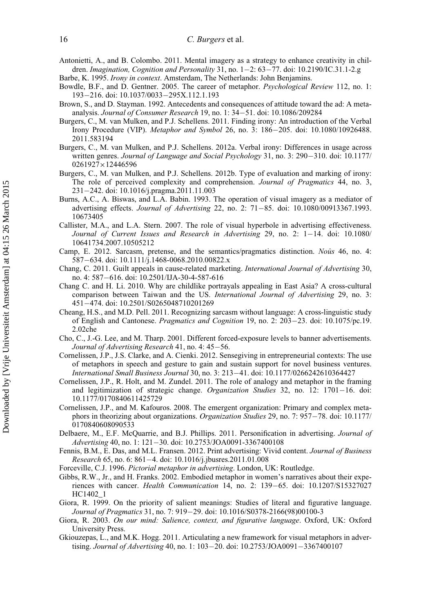<span id="page-17-10"></span>Antonietti, A., and B. Colombo. 2011. Mental imagery as a strategy to enhance creativity in children. Imagination, Cognition and Personality 31, no.  $1-2$ : 63-77. doi:  $10.2190$ /IC.31.1-2.g

<span id="page-17-15"></span>Barbe, K. 1995. Irony in context. Amsterdam, The Netherlands: John Benjamins.

- <span id="page-17-6"></span>Bowdle, B.F., and D. Gentner. 2005. The career of metaphor. Psychological Review 112, no. 1: 193-216. doi: [10.1037/0033](http://dx.doi.org/10.1037/0033--295X.112.1.193)-[295X.112.1.193](http://dx.doi.org/10.1037/0033--295X.112.1.193)
- <span id="page-17-12"></span>Brown, S., and D. Stayman. 1992. Antecedents and consequences of attitude toward the ad: A meta-analysis. Journal of Consumer Research 19, no. 1: 34-51. doi: [10.1086/209284](http://dx.doi.org/10.1086/209284)
- <span id="page-17-13"></span>Burgers, C., M. van Mulken, and P.J. Schellens. 2011. Finding irony: An introduction of the Verbal Irony Procedure (VIP). Metaphor and Symbol 26, no. 3: 186–205. doi: [10.1080/10926488.](http://dx.doi.org/10.1080/10926488.2011.583194) [2011.583194](http://dx.doi.org/10.1080/10926488.2011.583194)
- <span id="page-17-14"></span>Burgers, C., M. van Mulken, and P.J. Schellens. 2012a. Verbal irony: Differences in usage across written genres. Journal of Language and Social Psychology 31, no. 3: 290-310. doi: [10.1177/](http://dx.doi.org/10.1177/0261927x12446596) [0261927](http://dx.doi.org/10.1177/0261927x12446596)×[12446596](http://dx.doi.org/10.1177/0261927x12446596)
- <span id="page-17-20"></span>Burgers, C., M. van Mulken, and P.J. Schellens. 2012b. Type of evaluation and marking of irony: The role of perceived complexity and comprehension. Journal of Pragmatics 44, no. 3, 231242. doi: [10.1016/j.pragma.2011.11.003](http://dx.doi.org/10.1016/j.pragma.2011.11.003)
- <span id="page-17-11"></span>Burns, A.C., A. Biswas, and L.A. Babin. 1993. The operation of visual imagery as a mediator of advertising effects. Journal of Advertising 22, no. 2: 71-85. doi: [10.1080/00913367.1993.](http://dx.doi.org/10.1080/00913367.1993.10673405) [10673405](http://dx.doi.org/10.1080/00913367.1993.10673405)
- <span id="page-17-4"></span>Callister, M.A., and L.A. Stern. 2007. The role of visual hyperbole in advertising effectiveness. Journal of Current Issues and Research in Advertising 29, no. 2:  $1-14$ . doi:  $10.1080/$ [10641734.2007.10505212](http://dx.doi.org/10.1080/10641734.2007.10505212)
- <span id="page-17-18"></span>Camp, E. 2012. Sarcasm, pretense, and the semantics/pragmatics distinction. Nous 46, no. 4: 587-634. doi: [10.1111/j.1468-0068.2010.00822.x](http://dx.doi.org/10.1111/j.1468-0068.2010.00822.x)
- <span id="page-17-0"></span>Chang, C. 2011. Guilt appeals in cause-related marketing. International Journal of Advertising 30, no. 4: 587-616. doi: [10.2501/IJA-30-4-587-616](http://dx.doi.org/10.2501/IJA-30-4-587-616)
- <span id="page-17-1"></span>Chang C. and H. Li. 2010. Why are childlike portrayals appealing in East Asia? A cross-cultural comparison between Taiwan and the US. International Journal of Advertising 29, no. 3: 451474. doi: [10.2501/S0265048710201269](http://dx.doi.org/10.2501/S0265048710201269)
- <span id="page-17-19"></span>Cheang, H.S., and M.D. Pell. 2011. Recognizing sarcasm without language: A cross-linguistic study of English and Cantonese. *Pragmatics and Cognition* 19, no. 2:  $203-23$ . doi: [10.1075/pc.19.](http://dx.doi.org/10.1075/pc.19.2.02che) [2.02che](http://dx.doi.org/10.1075/pc.19.2.02che)
- <span id="page-17-21"></span>Cho, C., J.-G. Lee, and M. Tharp. 2001. Different forced-exposure levels to banner advertisements. Journal of Advertising Research 41, no. 4: 45-56.
- <span id="page-17-8"></span>Cornelissen, J.P., J.S. Clarke, and A. Cienki. 2012. Sensegiving in entrepreneurial contexts: The use of metaphors in speech and gesture to gain and sustain support for novel business ventures. International Small Business Journal 30, no. 3: 21341. doi: [10.1177/0266242610364427](http://dx.doi.org/10.1177/0266242610364427)
- <span id="page-17-2"></span>Cornelissen, J.P., R. Holt, and M. Zundel. 2011. The role of analogy and metaphor in the framing and legitimization of strategic change. Organization Studies 32, no.  $12: 1701-16$ . doi: [10.1177/0170840611425729](http://dx.doi.org/10.1177/0170840611425729)
- <span id="page-17-7"></span>Cornelissen, J.P., and M. Kafouros. 2008. The emergent organization: Primary and complex meta-phors in theorizing about organizations. Organization Studies 29, no. 7: 957-78. doi: [10.1177/](http://dx.doi.org/10.1177/0170840608090533) [0170840608090533](http://dx.doi.org/10.1177/0170840608090533)
- <span id="page-17-5"></span>Delbaere, M., E.F. McQuarrie, and B.J. Phillips. 2011. Personification in advertising. Journal of Advertising 40, no. 1: 121-30. doi: [10.2753/JOA0091-3367400108](http://dx.doi.org/10.2753/JOA0091-3367400108)
- <span id="page-17-9"></span>Fennis, B.M., E. Das, and M.L. Fransen. 2012. Print advertising: Vivid content. Journal of Business Research 65, no. 6: 861-4. doi: [10.1016/j.jbusres.2011.01.008](http://dx.doi.org/10.1016/j.jbusres.2011.01.008)
- <span id="page-17-22"></span>Forceville, C.J. 1996. Pictorial metaphor in advertising. London, UK: Routledge.
- <span id="page-17-3"></span>Gibbs, R.W., Jr., and H. Franks. 2002. Embodied metaphor in women's narratives about their experiences with cancer. *Health Communication* 14, no. 2: 139–65. doi: [10.1207/S15327027](http://dx.doi.org/10.1207/S15327027HC1402_1) [HC1402\\_1](http://dx.doi.org/10.1207/S15327027HC1402_1)
- <span id="page-17-16"></span>Giora, R. 1999. On the priority of salient meanings: Studies of literal and figurative language. Journal of Pragmatics 31, no. 7: 919–29. doi: [10.1016/S0378-2166\(98\)00100-3](http://dx.doi.org/10.1016/S0378-2166(98)00100-3)
- <span id="page-17-17"></span>Giora, R. 2003. On our mind: Salience, context, and figurative language. Oxford, UK: Oxford University Press.
- <span id="page-17-23"></span>Gkiouzepas, L., and M.K. Hogg. 2011. Articulating a new framework for visual metaphors in advertising. Journal of Advertising 40, no. 1:  $103-20$ . doi:  $10.2753$ /JOA0091-3367400107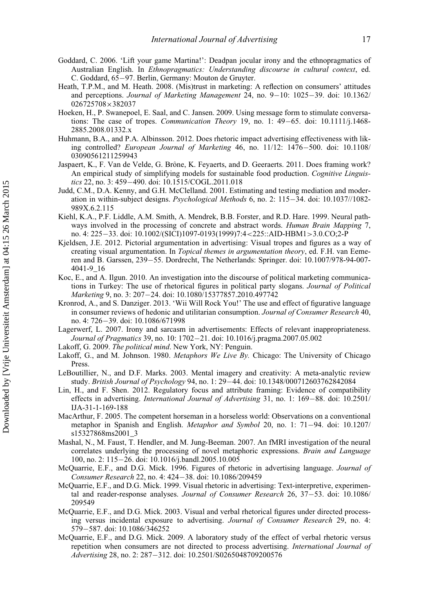- <span id="page-18-19"></span>Goddard, C. 2006. 'Lift your game Martina!': Deadpan jocular irony and the ethnopragmatics of Australian English. In Ethnopragmatics: Understanding discourse in cultural context, ed. C. Goddard, 65-97. Berlin, Germany: Mouton de Gruyter.
- <span id="page-18-16"></span>Heath, T.P.M., and M. Heath. 2008. (Mis)trust in marketing: A reflection on consumers' attitudes and perceptions. Journal of Marketing Management 24, no.  $9-10$ :  $1025-39$ . doi:  $10.1362/$ [026725708](http://dx.doi.org/10.1362/026725708x382037)×[382037](http://dx.doi.org/10.1362/026725708x382037)
- <span id="page-18-1"></span>Hoeken, H., P. Swanepoel, E. Saal, and C. Jansen. 2009. Using message form to stimulate conversations: The case of tropes. Communication Theory 19, no. 1:  $49-65$ . doi:  $10.1111/j.1468-$ [2885.2008.01332.x](http://dx.doi.org/10.1111/j.1468-2885.2008.01332.x)
- <span id="page-18-5"></span>Huhmann, B.A., and P.A. Albinsson. 2012. Does rhetoric impact advertising effectiveness with lik-ing controlled? European Journal of Marketing 46, no. 11/12: 1476-500. doi: [10.1108/](http://dx.doi.org/10.1108/03090561211259943) [03090561211259943](http://dx.doi.org/10.1108/03090561211259943)
- <span id="page-18-6"></span>Jaspaert, K., F. Van de Velde, G. Brône, K. Feyaerts, and D. Geeraerts. 2011. Does framing work? An empirical study of simplifying models for sustainable food production. Cognitive Linguis-tics 22, no. 3: 459-490. doi: [10.1515/COGL.2011.018](http://dx.doi.org/10.1515/COGL.2011.018)
- <span id="page-18-17"></span>Judd, C.M., D.A. Kenny, and G.H. McClelland. 2001. Estimating and testing mediation and moderation in within-subject designs. *Psychological Methods* 6, no. 2:  $115-34$ . doi:  $10.1037/1082-$ [989X.6.2.115](http://dx.doi.org/10.1037//1082-989X.6.2.115)
- <span id="page-18-20"></span>Kiehl, K.A., P.F. Liddle, A.M. Smith, A. Mendrek, B.B. Forster, and R.D. Hare. 1999. Neural pathways involved in the processing of concrete and abstract words. *Human Brain Mapping* 7, no. 4: 225–33. doi: [10.1002/\(SICI\)1097-0193\(1999\)7:4](http://dx.doi.org/10.1002/(SICI)1097-0193(1999)7:4<225::AID-HBM1>3.0.CO;2-P)<[225::AID-HBM1](http://dx.doi.org/10.1002/(SICI)1097-0193(1999)7:4<225::AID-HBM1>3.0.CO;2-P)>[3.0.CO;2-P](http://dx.doi.org/10.1002/(SICI)1097-0193(1999)7:4<225::AID-HBM1>3.0.CO;2-P)
- <span id="page-18-7"></span>Kjeldsen, J.E. 2012. Pictorial argumentation in advertising: Visual tropes and figures as a way of creating visual argumentation. In Topical themes in argumentation theory, ed. F.H. van Eeme-ren and B. Garssen, 239–55. Dordrecht, The Netherlands: Springer. doi: [10.1007/978-94-007-](http://dx.doi.org/10.1007/978-94-007-4041-9_16) [4041-9\\_16](http://dx.doi.org/10.1007/978-94-007-4041-9_16)
- <span id="page-18-13"></span>Koc, E., and A. Ilgun. 2010. An investigation into the discourse of political marketing communications in Turkey: The use of rhetorical figures in political party slogans. Journal of Political Marketing 9, no. 3: 207-24. doi: [10.1080/15377857.2010.497742](http://dx.doi.org/10.1080/15377857.2010.497742)
- <span id="page-18-8"></span>Kronrod, A., and S. Danziger. 2013. 'Wii Will Rock You!' The use and effect of figurative language in consumer reviews of hedonic and utilitarian consumption. Journal of Consumer Research 40, no. 4: 726-39. doi: [10.1086/671998](http://dx.doi.org/10.1086/671998)
- <span id="page-18-18"></span>Lagerwerf, L. 2007. Irony and sarcasm in advertisements: Effects of relevant inappropriateness. Journal of Pragmatics 39, no. 10: 1702–21. doi: [10.1016/j.pragma.2007.05.002](http://dx.doi.org/10.1016/j.pragma.2007.05.002)
- <span id="page-18-11"></span>Lakoff, G. 2009. The political mind. New York, NY: Penguin.
- <span id="page-18-9"></span>Lakoff, G., and M. Johnson. 1980. Metaphors We Live By. Chicago: The University of Chicago Press.
- <span id="page-18-12"></span>LeBoutillier, N., and D.F. Marks. 2003. Mental imagery and creativity: A meta-analytic review study. British Journal of Psychology 94, no. 1: 29–44. doi: [10.1348/000712603762842084](http://dx.doi.org/10.1348/000712603762842084)
- <span id="page-18-0"></span>Lin, H., and F. Shen. 2012. Regulatory focus and attribute framing: Evidence of compatibility effects in advertising. International Journal of Advertising 31, no. 1:  $169-88$ . doi:  $10.2501/$ [IJA-31-1-169-188](http://dx.doi.org/10.2501/IJA-31-1-169-188)
- <span id="page-18-14"></span>MacArthur, F. 2005. The competent horseman in a horseless world: Observations on a conventional metaphor in Spanish and English. *Metaphor and Symbol* 20, no. 1: 71–94. doi: [10.1207/](http://dx.doi.org/10.1207/s15327868ms2001_3) [s15327868ms2001\\_3](http://dx.doi.org/10.1207/s15327868ms2001_3)
- <span id="page-18-10"></span>Mashal, N., M. Faust, T. Hendler, and M. Jung-Beeman. 2007. An fMRI investigation of the neural correlates underlying the processing of novel metaphoric expressions. Brain and Language 100, no. 2: 115-26. doi: [10.1016/j.bandl.2005.10.005](http://dx.doi.org/10.1016/j.bandl.2005.10.005)
- <span id="page-18-2"></span>McQuarrie, E.F., and D.G. Mick. 1996. Figures of rhetoric in advertising language. Journal of Consumer Research 22, no. 4: 424-38. doi: [10.1086/209459](http://dx.doi.org/10.1086/209459)
- <span id="page-18-15"></span>McQuarrie, E.F., and D.G. Mick. 1999. Visual rhetoric in advertising: Text-interpretive, experimental and reader-response analyses. Journal of Consumer Research  $26$ ,  $37-53$ . doi: [10.1086/](http://dx.doi.org/10.1086/209549) [209549](http://dx.doi.org/10.1086/209549)
- <span id="page-18-3"></span>McQuarrie, E.F., and D.G. Mick. 2003. Visual and verbal rhetorical figures under directed processing versus incidental exposure to advertising. Journal of Consumer Research 29, no. 4: 579-587. doi: [10.1086/346252](http://dx.doi.org/10.1086/346252)
- <span id="page-18-4"></span>McQuarrie, E.F., and D.G. Mick. 2009. A laboratory study of the effect of verbal rhetoric versus repetition when consumers are not directed to process advertising. International Journal of Advertising 28, no. 2: 287-312. doi: [10.2501/S0265048709200576](http://dx.doi.org/10.2501/S0265048709200576)